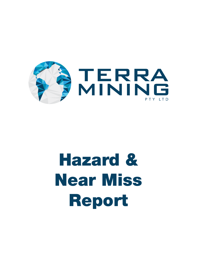

## Hazard & Near Miss Report